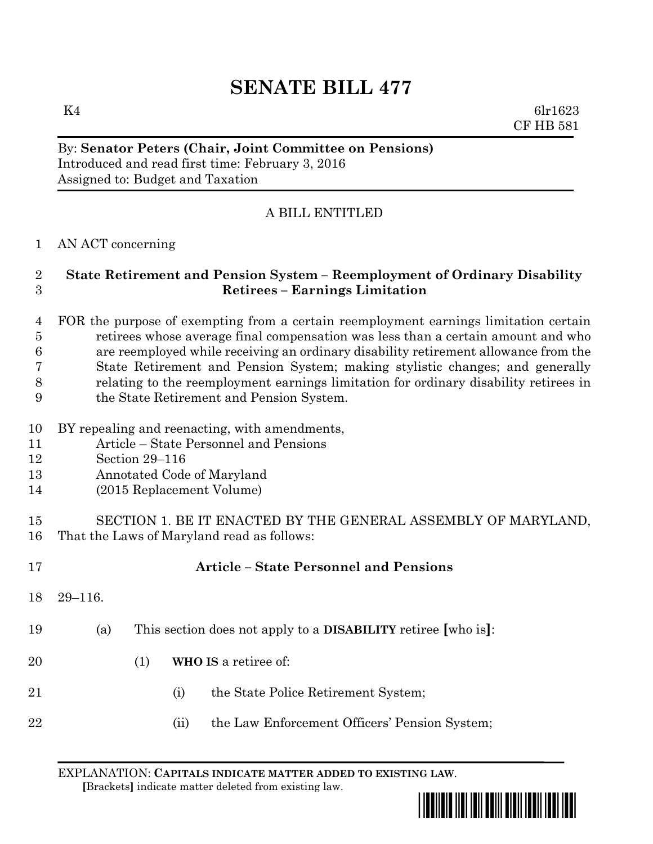# **SENATE BILL 477**

K4 6lr1623 CF HB 581

### By: **Senator Peters (Chair, Joint Committee on Pensions)** Introduced and read first time: February 3, 2016 Assigned to: Budget and Taxation

## A BILL ENTITLED

### AN ACT concerning

### **State Retirement and Pension System – Reemployment of Ordinary Disability Retirees – Earnings Limitation**

## FOR the purpose of exempting from a certain reemployment earnings limitation certain retirees whose average final compensation was less than a certain amount and who are reemployed while receiving an ordinary disability retirement allowance from the State Retirement and Pension System; making stylistic changes; and generally relating to the reemployment earnings limitation for ordinary disability retirees in

- the State Retirement and Pension System.
- BY repealing and reenacting, with amendments,
- Article State Personnel and Pensions
- Section 29–116
- Annotated Code of Maryland
- (2015 Replacement Volume)
- SECTION 1. BE IT ENACTED BY THE GENERAL ASSEMBLY OF MARYLAND, That the Laws of Maryland read as follows:

| 17 |             |                                                                      |      | <b>Article – State Personnel and Pensions</b> |
|----|-------------|----------------------------------------------------------------------|------|-----------------------------------------------|
| 18 | $29 - 116.$ |                                                                      |      |                                               |
| 19 | (a)         | This section does not apply to a <b>DISABILITY</b> retiree [who is]: |      |                                               |
| 20 |             | (1)                                                                  |      | WHO IS a retiree of:                          |
| 21 |             |                                                                      | (i)  | the State Police Retirement System;           |
| 22 |             |                                                                      | (11) | the Law Enforcement Officers' Pension System; |